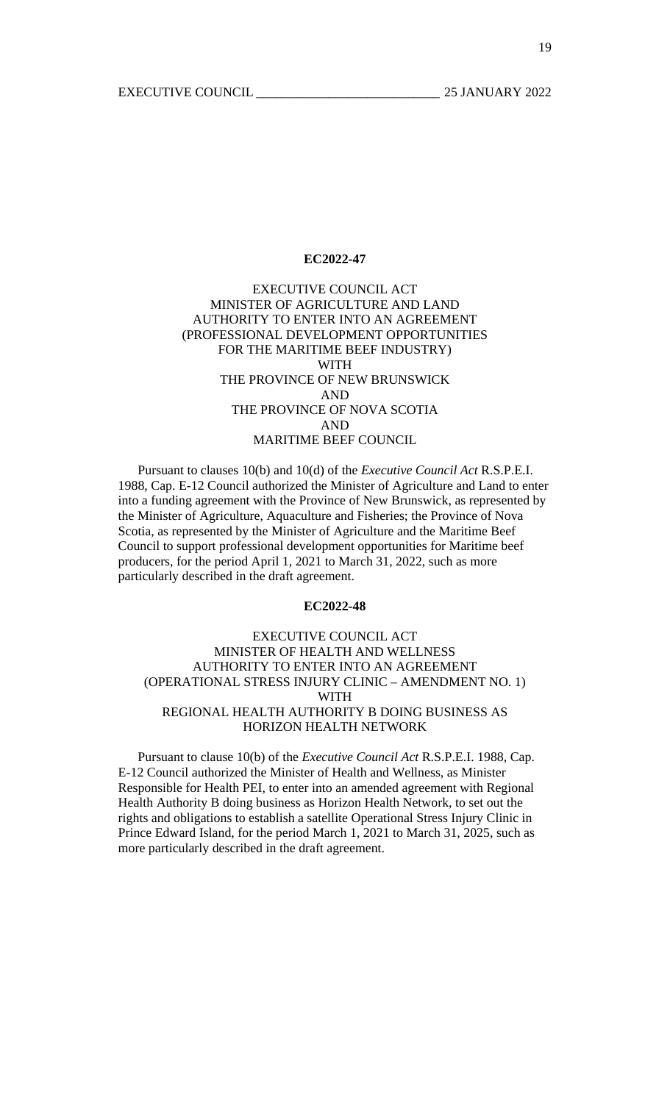19

### **EC2022-47**

# EXECUTIVE COUNCIL ACT MINISTER OF AGRICULTURE AND LAND AUTHORITY TO ENTER INTO AN AGREEMENT (PROFESSIONAL DEVELOPMENT OPPORTUNITIES FOR THE MARITIME BEEF INDUSTRY) WITH THE PROVINCE OF NEW BRUNSWICK AND THE PROVINCE OF NOVA SCOTIA AND MARITIME BEEF COUNCIL

 Pursuant to clauses 10(b) and 10(d) of the *Executive Council Act* R.S.P.E.I. 1988, Cap. E-12 Council authorized the Minister of Agriculture and Land to enter into a funding agreement with the Province of New Brunswick, as represented by the Minister of Agriculture, Aquaculture and Fisheries; the Province of Nova Scotia, as represented by the Minister of Agriculture and the Maritime Beef Council to support professional development opportunities for Maritime beef producers, for the period April 1, 2021 to March 31, 2022, such as more particularly described in the draft agreement.

#### **EC2022-48**

# EXECUTIVE COUNCIL ACT MINISTER OF HEALTH AND WELLNESS AUTHORITY TO ENTER INTO AN AGREEMENT (OPERATIONAL STRESS INJURY CLINIC – AMENDMENT NO. 1) WITH REGIONAL HEALTH AUTHORITY B DOING BUSINESS AS HORIZON HEALTH NETWORK

 Pursuant to clause 10(b) of the *Executive Council Act* R.S.P.E.I. 1988, Cap. E-12 Council authorized the Minister of Health and Wellness, as Minister Responsible for Health PEI, to enter into an amended agreement with Regional Health Authority B doing business as Horizon Health Network, to set out the rights and obligations to establish a satellite Operational Stress Injury Clinic in Prince Edward Island, for the period March 1, 2021 to March 31, 2025, such as more particularly described in the draft agreement.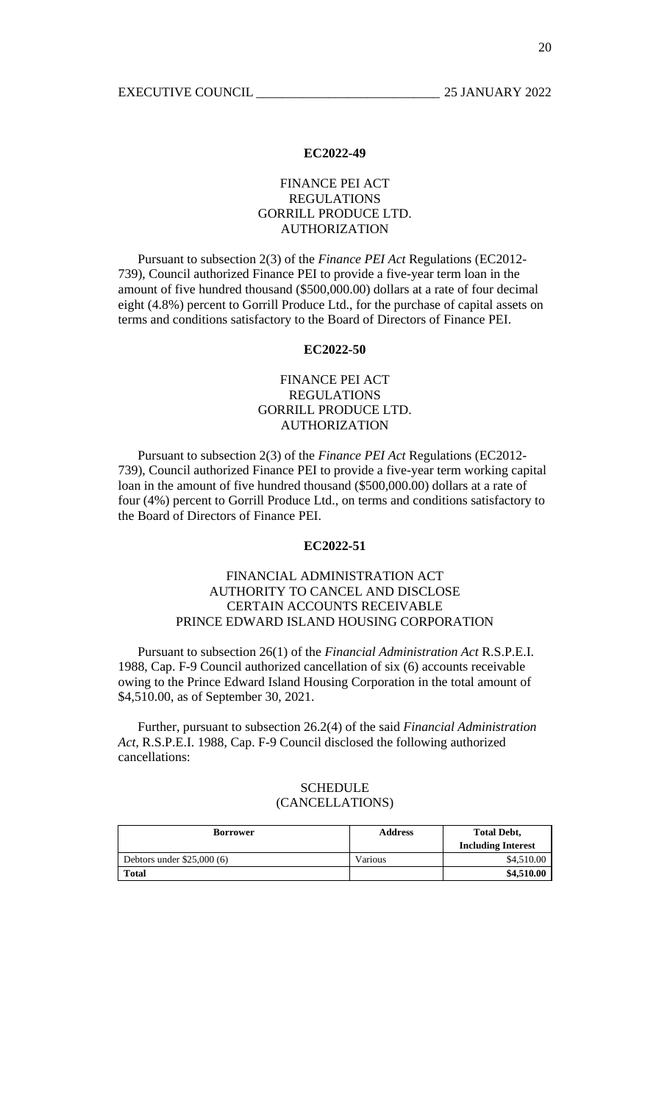## FINANCE PEI ACT REGULATIONS GORRILL PRODUCE LTD. AUTHORIZATION

 Pursuant to subsection 2(3) of the *Finance PEI Act* Regulations (EC2012- 739), Council authorized Finance PEI to provide a five-year term loan in the amount of five hundred thousand (\$500,000.00) dollars at a rate of four decimal eight (4.8%) percent to Gorrill Produce Ltd., for the purchase of capital assets on terms and conditions satisfactory to the Board of Directors of Finance PEI.

### **EC2022-50**

# FINANCE PEI ACT REGULATIONS GORRILL PRODUCE LTD. AUTHORIZATION

 Pursuant to subsection 2(3) of the *Finance PEI Act* Regulations (EC2012- 739), Council authorized Finance PEI to provide a five-year term working capital loan in the amount of five hundred thousand (\$500,000.00) dollars at a rate of four (4%) percent to Gorrill Produce Ltd., on terms and conditions satisfactory to the Board of Directors of Finance PEI.

#### **EC2022-51**

# FINANCIAL ADMINISTRATION ACT AUTHORITY TO CANCEL AND DISCLOSE CERTAIN ACCOUNTS RECEIVABLE PRINCE EDWARD ISLAND HOUSING CORPORATION

 Pursuant to subsection 26(1) of the *Financial Administration Act* R.S.P.E.I. 1988, Cap. F-9 Council authorized cancellation of six (6) accounts receivable owing to the Prince Edward Island Housing Corporation in the total amount of \$4,510.00, as of September 30, 2021.

 Further, pursuant to subsection 26.2(4) of the said *Financial Administration Act*, R.S.P.E.I. 1988, Cap. F-9 Council disclosed the following authorized cancellations:

#### **SCHEDULE** (CANCELLATIONS)

| <b>Borrower</b>            | <b>Address</b> | <b>Total Debt,</b>        |
|----------------------------|----------------|---------------------------|
|                            |                | <b>Including Interest</b> |
| Debtors under $$25,000(6)$ | Various        | \$4,510.00                |
| <b>Total</b>               |                | \$4,510.00                |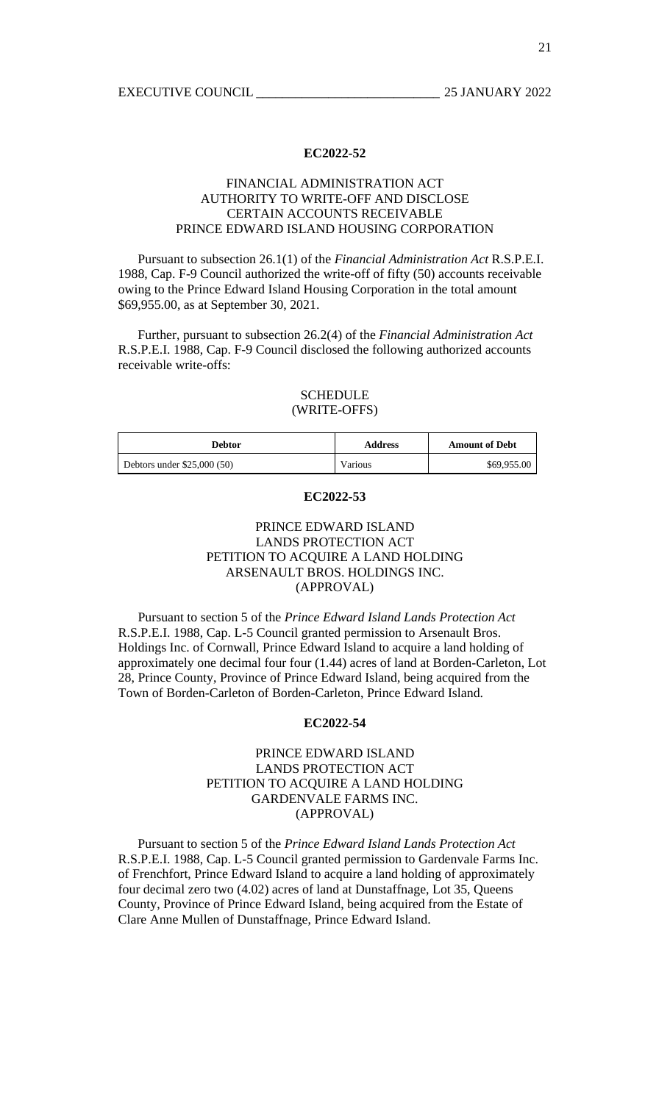## FINANCIAL ADMINISTRATION ACT AUTHORITY TO WRITE-OFF AND DISCLOSE CERTAIN ACCOUNTS RECEIVABLE PRINCE EDWARD ISLAND HOUSING CORPORATION

 Pursuant to subsection 26.1(1) of the *Financial Administration Act* R.S.P.E.I. 1988, Cap. F-9 Council authorized the write-off of fifty (50) accounts receivable owing to the Prince Edward Island Housing Corporation in the total amount \$69,955.00, as at September 30, 2021.

 Further, pursuant to subsection 26.2(4) of the *Financial Administration Act* R.S.P.E.I. 1988, Cap. F-9 Council disclosed the following authorized accounts receivable write-offs:

## SCHEDULE (WRITE-OFFS)

| <b>Debtor</b>               | <b>Address</b> | <b>Amount of Debt</b> |
|-----------------------------|----------------|-----------------------|
| Debtors under $$25,000(50)$ | Various        | \$69,955.00           |

#### **EC2022-53**

# PRINCE EDWARD ISLAND LANDS PROTECTION ACT PETITION TO ACQUIRE A LAND HOLDING ARSENAULT BROS. HOLDINGS INC. (APPROVAL)

 Pursuant to section 5 of the *Prince Edward Island Lands Protection Act* R.S.P.E.I. 1988, Cap. L-5 Council granted permission to Arsenault Bros. Holdings Inc. of Cornwall, Prince Edward Island to acquire a land holding of approximately one decimal four four (1.44) acres of land at Borden-Carleton, Lot 28, Prince County, Province of Prince Edward Island, being acquired from the Town of Borden-Carleton of Borden-Carleton, Prince Edward Island.

### **EC2022-54**

# PRINCE EDWARD ISLAND LANDS PROTECTION ACT PETITION TO ACQUIRE A LAND HOLDING GARDENVALE FARMS INC. (APPROVAL)

 Pursuant to section 5 of the *Prince Edward Island Lands Protection Act* R.S.P.E.I. 1988, Cap. L-5 Council granted permission to Gardenvale Farms Inc. of Frenchfort, Prince Edward Island to acquire a land holding of approximately four decimal zero two (4.02) acres of land at Dunstaffnage, Lot 35, Queens County, Province of Prince Edward Island, being acquired from the Estate of Clare Anne Mullen of Dunstaffnage, Prince Edward Island.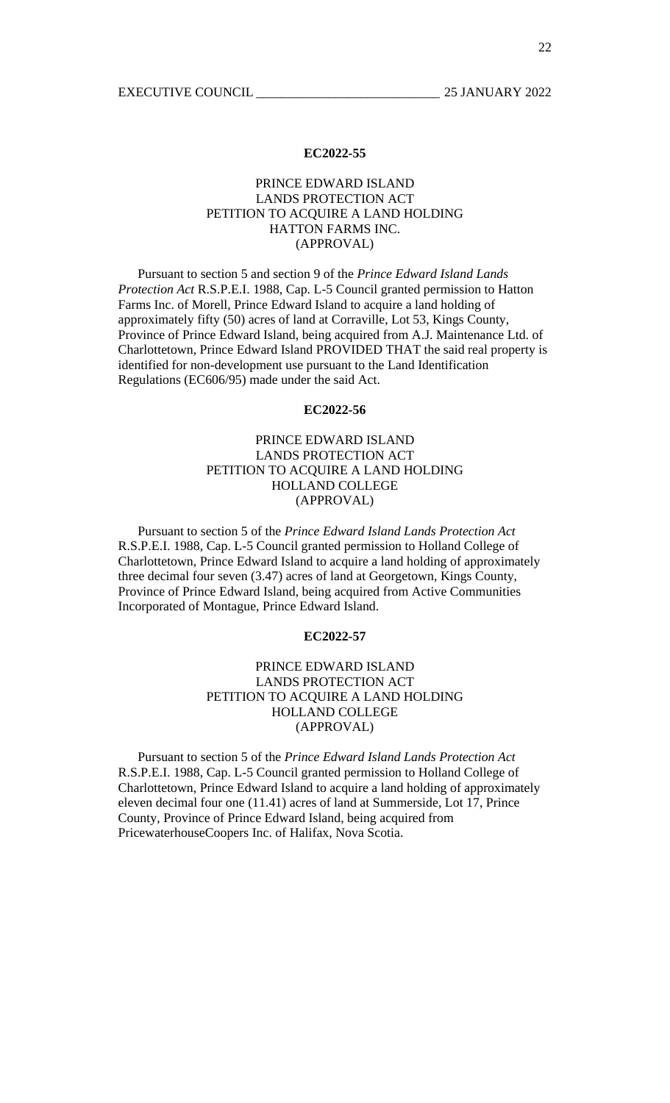## PRINCE EDWARD ISLAND LANDS PROTECTION ACT PETITION TO ACQUIRE A LAND HOLDING HATTON FARMS INC. (APPROVAL)

 Pursuant to section 5 and section 9 of the *Prince Edward Island Lands Protection Act* R.S.P.E.I. 1988, Cap. L-5 Council granted permission to Hatton Farms Inc. of Morell, Prince Edward Island to acquire a land holding of approximately fifty (50) acres of land at Corraville, Lot 53, Kings County, Province of Prince Edward Island, being acquired from A.J. Maintenance Ltd. of Charlottetown, Prince Edward Island PROVIDED THAT the said real property is identified for non-development use pursuant to the Land Identification Regulations (EC606/95) made under the said Act.

#### **EC2022-56**

# PRINCE EDWARD ISLAND LANDS PROTECTION ACT PETITION TO ACQUIRE A LAND HOLDING HOLLAND COLLEGE (APPROVAL)

 Pursuant to section 5 of the *Prince Edward Island Lands Protection Act* R.S.P.E.I. 1988, Cap. L-5 Council granted permission to Holland College of Charlottetown, Prince Edward Island to acquire a land holding of approximately three decimal four seven (3.47) acres of land at Georgetown, Kings County, Province of Prince Edward Island, being acquired from Active Communities Incorporated of Montague, Prince Edward Island.

#### **EC2022-57**

# PRINCE EDWARD ISLAND LANDS PROTECTION ACT PETITION TO ACQUIRE A LAND HOLDING HOLLAND COLLEGE (APPROVAL)

 Pursuant to section 5 of the *Prince Edward Island Lands Protection Act* R.S.P.E.I. 1988, Cap. L-5 Council granted permission to Holland College of Charlottetown, Prince Edward Island to acquire a land holding of approximately eleven decimal four one (11.41) acres of land at Summerside, Lot 17, Prince County, Province of Prince Edward Island, being acquired from PricewaterhouseCoopers Inc. of Halifax, Nova Scotia.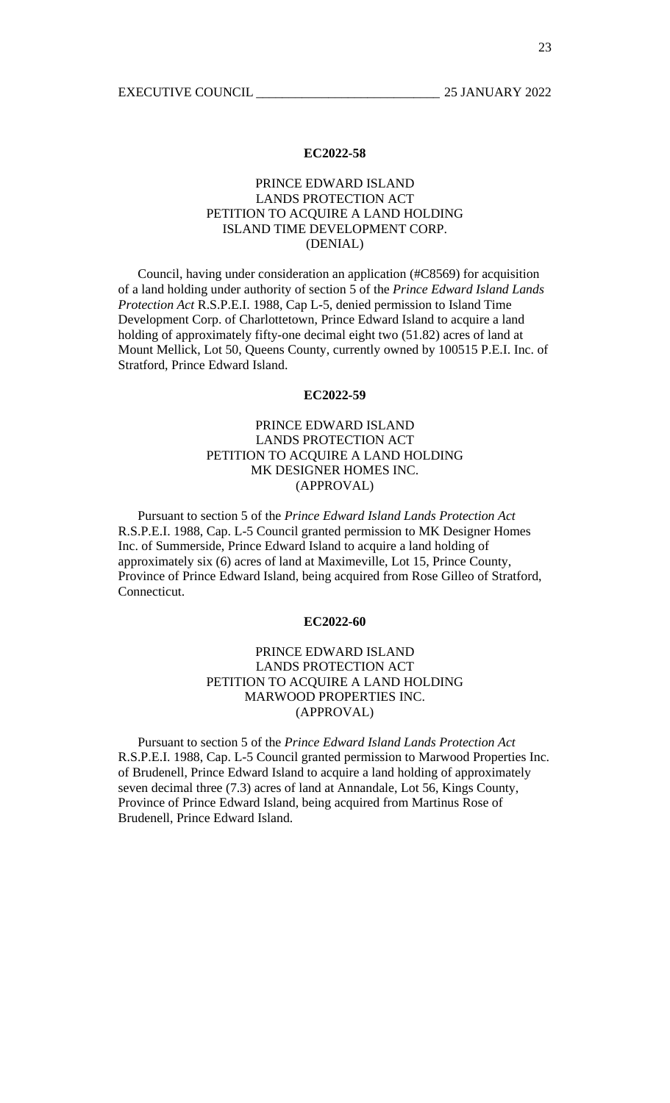# PRINCE EDWARD ISLAND LANDS PROTECTION ACT PETITION TO ACQUIRE A LAND HOLDING ISLAND TIME DEVELOPMENT CORP. (DENIAL)

 Council, having under consideration an application (#C8569) for acquisition of a land holding under authority of section 5 of the *Prince Edward Island Lands Protection Act* R.S.P.E.I. 1988, Cap L-5, denied permission to Island Time Development Corp. of Charlottetown, Prince Edward Island to acquire a land holding of approximately fifty-one decimal eight two (51.82) acres of land at Mount Mellick, Lot 50, Queens County, currently owned by 100515 P.E.I. Inc. of Stratford, Prince Edward Island.

### **EC2022-59**

# PRINCE EDWARD ISLAND LANDS PROTECTION ACT PETITION TO ACQUIRE A LAND HOLDING MK DESIGNER HOMES INC. (APPROVAL)

 Pursuant to section 5 of the *Prince Edward Island Lands Protection Act* R.S.P.E.I. 1988, Cap. L-5 Council granted permission to MK Designer Homes Inc. of Summerside, Prince Edward Island to acquire a land holding of approximately six (6) acres of land at Maximeville, Lot 15, Prince County, Province of Prince Edward Island, being acquired from Rose Gilleo of Stratford, Connecticut.

#### **EC2022-60**

# PRINCE EDWARD ISLAND LANDS PROTECTION ACT PETITION TO ACQUIRE A LAND HOLDING MARWOOD PROPERTIES INC. (APPROVAL)

 Pursuant to section 5 of the *Prince Edward Island Lands Protection Act* R.S.P.E.I. 1988, Cap. L-5 Council granted permission to Marwood Properties Inc. of Brudenell, Prince Edward Island to acquire a land holding of approximately seven decimal three (7.3) acres of land at Annandale, Lot 56, Kings County, Province of Prince Edward Island, being acquired from Martinus Rose of Brudenell, Prince Edward Island.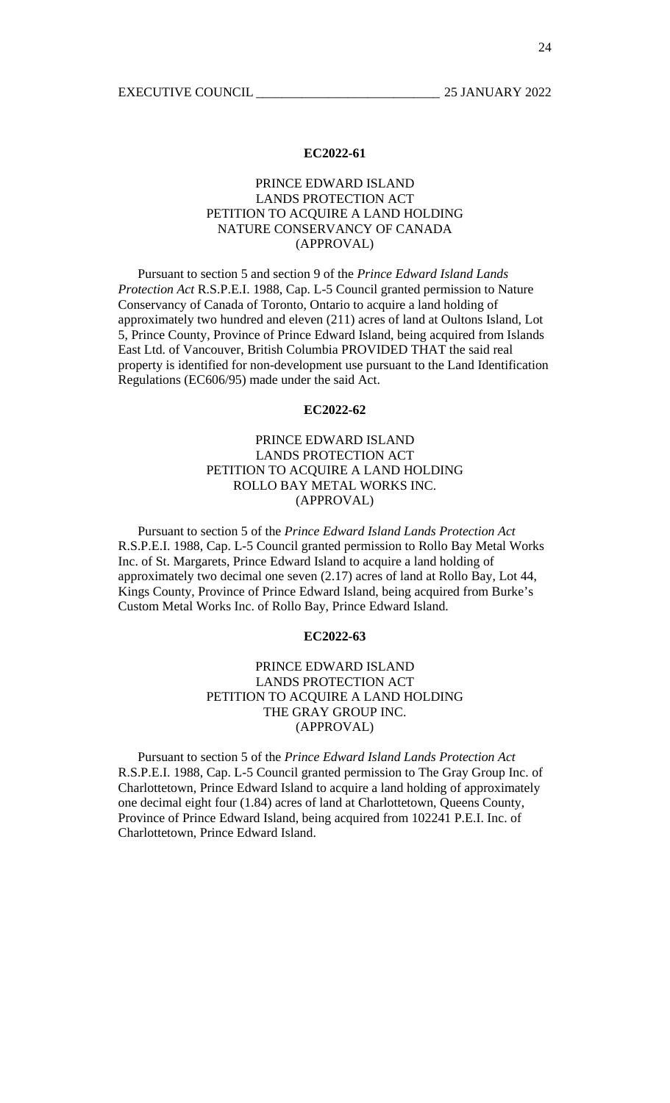# PRINCE EDWARD ISLAND LANDS PROTECTION ACT PETITION TO ACQUIRE A LAND HOLDING NATURE CONSERVANCY OF CANADA (APPROVAL)

 Pursuant to section 5 and section 9 of the *Prince Edward Island Lands Protection Act* R.S.P.E.I. 1988, Cap. L-5 Council granted permission to Nature Conservancy of Canada of Toronto, Ontario to acquire a land holding of approximately two hundred and eleven (211) acres of land at Oultons Island, Lot 5, Prince County, Province of Prince Edward Island, being acquired from Islands East Ltd. of Vancouver, British Columbia PROVIDED THAT the said real property is identified for non-development use pursuant to the Land Identification Regulations (EC606/95) made under the said Act.

#### **EC2022-62**

# PRINCE EDWARD ISLAND LANDS PROTECTION ACT PETITION TO ACQUIRE A LAND HOLDING ROLLO BAY METAL WORKS INC. (APPROVAL)

 Pursuant to section 5 of the *Prince Edward Island Lands Protection Act* R.S.P.E.I. 1988, Cap. L-5 Council granted permission to Rollo Bay Metal Works Inc. of St. Margarets, Prince Edward Island to acquire a land holding of approximately two decimal one seven (2.17) acres of land at Rollo Bay, Lot 44, Kings County, Province of Prince Edward Island, being acquired from Burke's Custom Metal Works Inc. of Rollo Bay, Prince Edward Island.

#### **EC2022-63**

# PRINCE EDWARD ISLAND LANDS PROTECTION ACT PETITION TO ACQUIRE A LAND HOLDING THE GRAY GROUP INC. (APPROVAL)

 Pursuant to section 5 of the *Prince Edward Island Lands Protection Act* R.S.P.E.I. 1988, Cap. L-5 Council granted permission to The Gray Group Inc. of Charlottetown, Prince Edward Island to acquire a land holding of approximately one decimal eight four (1.84) acres of land at Charlottetown, Queens County, Province of Prince Edward Island, being acquired from 102241 P.E.I. Inc. of Charlottetown, Prince Edward Island.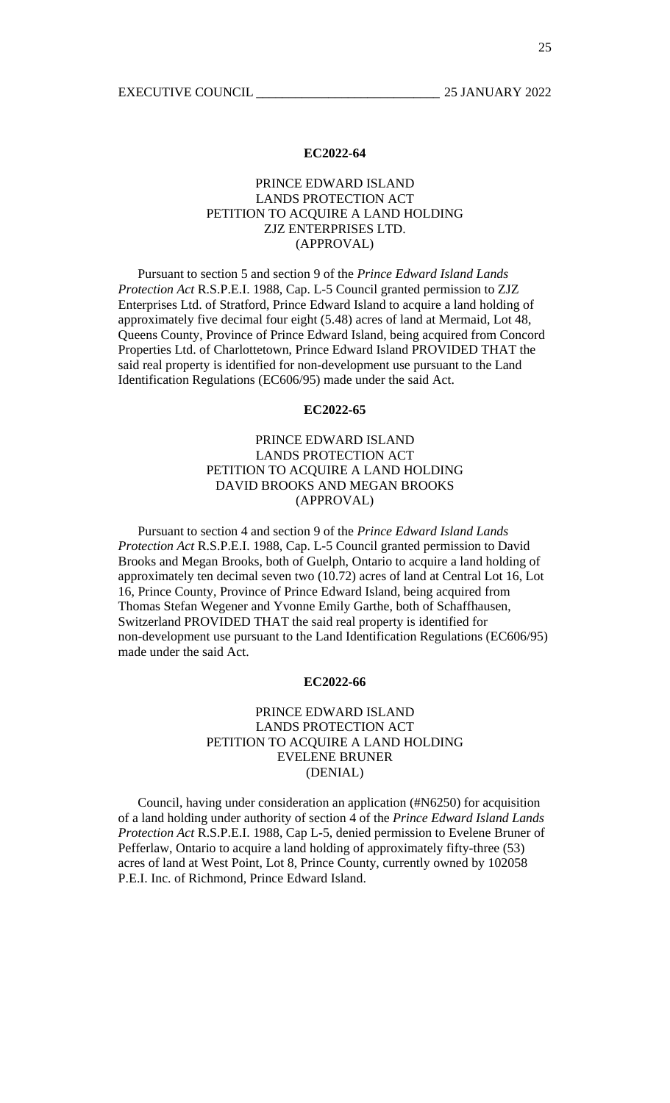## PRINCE EDWARD ISLAND LANDS PROTECTION ACT PETITION TO ACQUIRE A LAND HOLDING ZJZ ENTERPRISES LTD. (APPROVAL)

 Pursuant to section 5 and section 9 of the *Prince Edward Island Lands Protection Act* R.S.P.E.I. 1988, Cap. L-5 Council granted permission to ZJZ Enterprises Ltd. of Stratford, Prince Edward Island to acquire a land holding of approximately five decimal four eight (5.48) acres of land at Mermaid, Lot 48, Queens County, Province of Prince Edward Island, being acquired from Concord Properties Ltd. of Charlottetown, Prince Edward Island PROVIDED THAT the said real property is identified for non-development use pursuant to the Land Identification Regulations (EC606/95) made under the said Act.

### **EC2022-65**

# PRINCE EDWARD ISLAND LANDS PROTECTION ACT PETITION TO ACQUIRE A LAND HOLDING DAVID BROOKS AND MEGAN BROOKS (APPROVAL)

 Pursuant to section 4 and section 9 of the *Prince Edward Island Lands Protection Act* R.S.P.E.I. 1988, Cap. L-5 Council granted permission to David Brooks and Megan Brooks, both of Guelph, Ontario to acquire a land holding of approximately ten decimal seven two (10.72) acres of land at Central Lot 16, Lot 16, Prince County, Province of Prince Edward Island, being acquired from Thomas Stefan Wegener and Yvonne Emily Garthe, both of Schaffhausen, Switzerland PROVIDED THAT the said real property is identified for non-development use pursuant to the Land Identification Regulations (EC606/95) made under the said Act.

### **EC2022-66**

# PRINCE EDWARD ISLAND LANDS PROTECTION ACT PETITION TO ACQUIRE A LAND HOLDING EVELENE BRUNER (DENIAL)

 Council, having under consideration an application (#N6250) for acquisition of a land holding under authority of section 4 of the *Prince Edward Island Lands Protection Act* R.S.P.E.I. 1988, Cap L-5, denied permission to Evelene Bruner of Pefferlaw, Ontario to acquire a land holding of approximately fifty-three (53) acres of land at West Point, Lot 8, Prince County, currently owned by 102058 P.E.I. Inc. of Richmond, Prince Edward Island.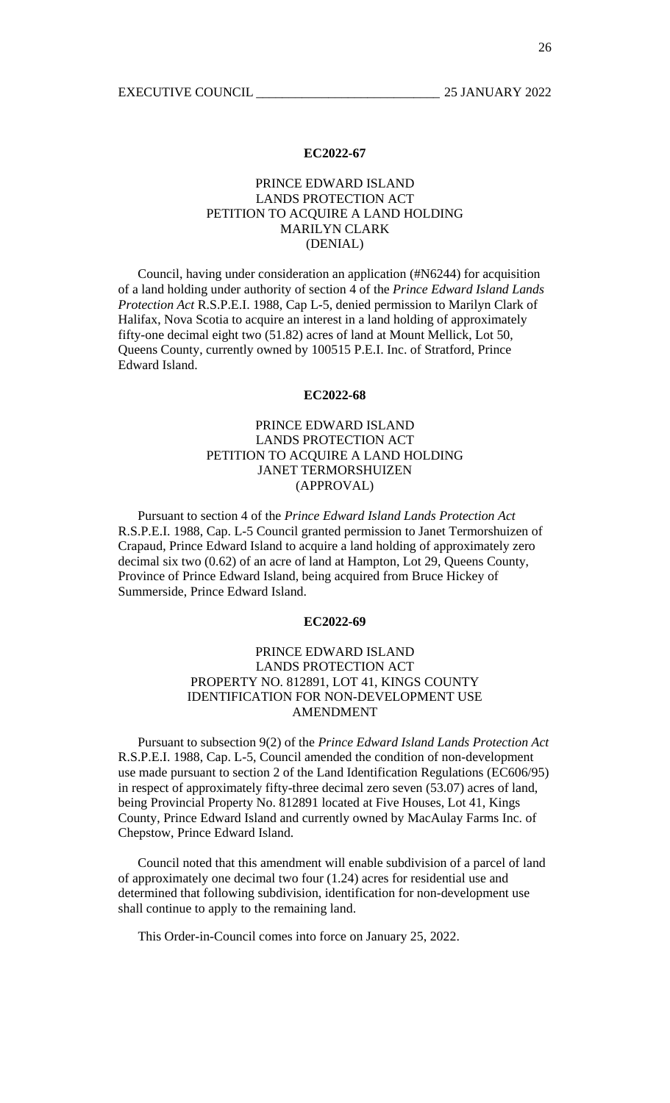# PRINCE EDWARD ISLAND LANDS PROTECTION ACT PETITION TO ACQUIRE A LAND HOLDING MARILYN CLARK (DENIAL)

 Council, having under consideration an application (#N6244) for acquisition of a land holding under authority of section 4 of the *Prince Edward Island Lands Protection Act* R.S.P.E.I. 1988, Cap L-5, denied permission to Marilyn Clark of Halifax, Nova Scotia to acquire an interest in a land holding of approximately fifty-one decimal eight two (51.82) acres of land at Mount Mellick, Lot 50, Queens County, currently owned by 100515 P.E.I. Inc. of Stratford, Prince Edward Island.

#### **EC2022-68**

# PRINCE EDWARD ISLAND LANDS PROTECTION ACT PETITION TO ACQUIRE A LAND HOLDING JANET TERMORSHUIZEN (APPROVAL)

 Pursuant to section 4 of the *Prince Edward Island Lands Protection Act* R.S.P.E.I. 1988, Cap. L-5 Council granted permission to Janet Termorshuizen of Crapaud, Prince Edward Island to acquire a land holding of approximately zero decimal six two (0.62) of an acre of land at Hampton, Lot 29, Queens County, Province of Prince Edward Island, being acquired from Bruce Hickey of Summerside, Prince Edward Island.

#### **EC2022-69**

# PRINCE EDWARD ISLAND LANDS PROTECTION ACT PROPERTY NO. 812891, LOT 41, KINGS COUNTY IDENTIFICATION FOR NON-DEVELOPMENT USE AMENDMENT

 Pursuant to subsection 9(2) of the *Prince Edward Island Lands Protection Act* R.S.P.E.I. 1988, Cap. L-5, Council amended the condition of non-development use made pursuant to section 2 of the Land Identification Regulations (EC606/95) in respect of approximately fifty-three decimal zero seven (53.07) acres of land, being Provincial Property No. 812891 located at Five Houses, Lot 41, Kings County, Prince Edward Island and currently owned by MacAulay Farms Inc. of Chepstow, Prince Edward Island.

 Council noted that this amendment will enable subdivision of a parcel of land of approximately one decimal two four (1.24) acres for residential use and determined that following subdivision, identification for non-development use shall continue to apply to the remaining land.

This Order-in-Council comes into force on January 25, 2022.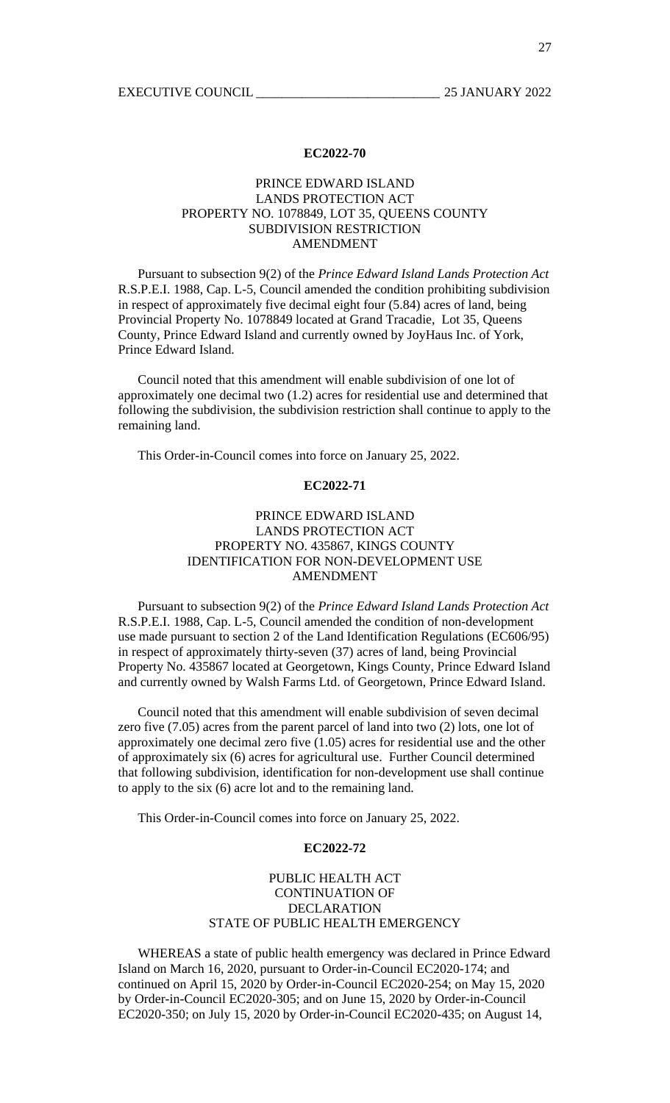# PRINCE EDWARD ISLAND LANDS PROTECTION ACT PROPERTY NO. 1078849, LOT 35, QUEENS COUNTY SUBDIVISION RESTRICTION AMENDMENT

 Pursuant to subsection 9(2) of the *Prince Edward Island Lands Protection Act* R.S.P.E.I. 1988, Cap. L-5, Council amended the condition prohibiting subdivision in respect of approximately five decimal eight four (5.84) acres of land, being Provincial Property No. 1078849 located at Grand Tracadie, Lot 35, Queens County, Prince Edward Island and currently owned by JoyHaus Inc. of York, Prince Edward Island.

 Council noted that this amendment will enable subdivision of one lot of approximately one decimal two (1.2) acres for residential use and determined that following the subdivision, the subdivision restriction shall continue to apply to the remaining land.

This Order-in-Council comes into force on January 25, 2022.

### **EC2022-71**

# PRINCE EDWARD ISLAND LANDS PROTECTION ACT PROPERTY NO. 435867, KINGS COUNTY IDENTIFICATION FOR NON-DEVELOPMENT USE AMENDMENT

 Pursuant to subsection 9(2) of the *Prince Edward Island Lands Protection Act* R.S.P.E.I. 1988, Cap. L-5, Council amended the condition of non-development use made pursuant to section 2 of the Land Identification Regulations (EC606/95) in respect of approximately thirty-seven (37) acres of land, being Provincial Property No. 435867 located at Georgetown, Kings County, Prince Edward Island and currently owned by Walsh Farms Ltd. of Georgetown, Prince Edward Island.

 Council noted that this amendment will enable subdivision of seven decimal zero five (7.05) acres from the parent parcel of land into two (2) lots, one lot of approximately one decimal zero five (1.05) acres for residential use and the other of approximately six (6) acres for agricultural use. Further Council determined that following subdivision, identification for non-development use shall continue to apply to the six (6) acre lot and to the remaining land.

This Order-in-Council comes into force on January 25, 2022.

#### **EC2022-72**

### PUBLIC HEALTH ACT CONTINUATION OF DECLARATION STATE OF PUBLIC HEALTH EMERGENCY

WHEREAS a state of public health emergency was declared in Prince Edward Island on March 16, 2020, pursuant to Order-in-Council EC2020-174; and continued on April 15, 2020 by Order-in-Council EC2020-254; on May 15, 2020 by Order-in-Council EC2020-305; and on June 15, 2020 by Order-in-Council EC2020-350; on July 15, 2020 by Order-in-Council EC2020-435; on August 14,